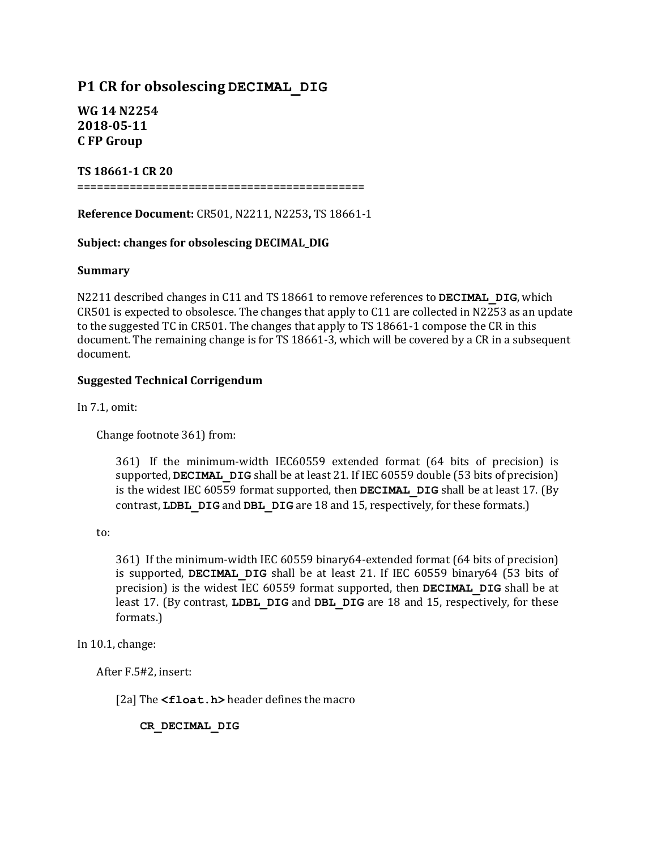# **P1 CR for obsolescing DECIMAL\_DIG**

**WG 14 N2254 2018-05-11 C FP Group**

# **TS 18661-1 CR 20**

============================================

**Reference Document:** CR501, N2211, N2253, TS 18661-1

# Subject: changes for obsolescing DECIMAL\_DIG

## **Summary**

N2211 described changes in C11 and TS 18661 to remove references to **DECIMAL** DIG, which  $CR501$  is expected to obsolesce. The changes that apply to  $C11$  are collected in N2253 as an update to the suggested TC in CR501. The changes that apply to TS 18661-1 compose the CR in this document. The remaining change is for TS 18661-3, which will be covered by a CR in a subsequent document.

# **Suggested Technical Corrigendum**

In  $7.1$ , omit:

Change footnote 361) from:

361) If the minimum-width IEC60559 extended format (64 bits of precision) is supported, **DECIMAL** DIG shall be at least 21. If IEC 60559 double (53 bits of precision) is the widest IEC 60559 format supported, then **DECIMAL** DIG shall be at least 17. (By contrast, **LDBL** DIG and DBL DIG are 18 and 15, respectively, for these formats.)

to:

361) If the minimum-width IEC 60559 binary64-extended format (64 bits of precision) is supported, **DECIMAL DIG** shall be at least 21. If IEC 60559 binary64 (53 bits of precision) is the widest IEC 60559 format supported, then **DECIMAL** DIG shall be at least 17. (By contrast, LDBL DIG and DBL DIG are 18 and 15, respectively, for these formats.)

In  $10.1$ , change:

After F.5#2, insert:

[2a] The **<float.h>** header defines the macro

**CR\_DECIMAL\_DIG**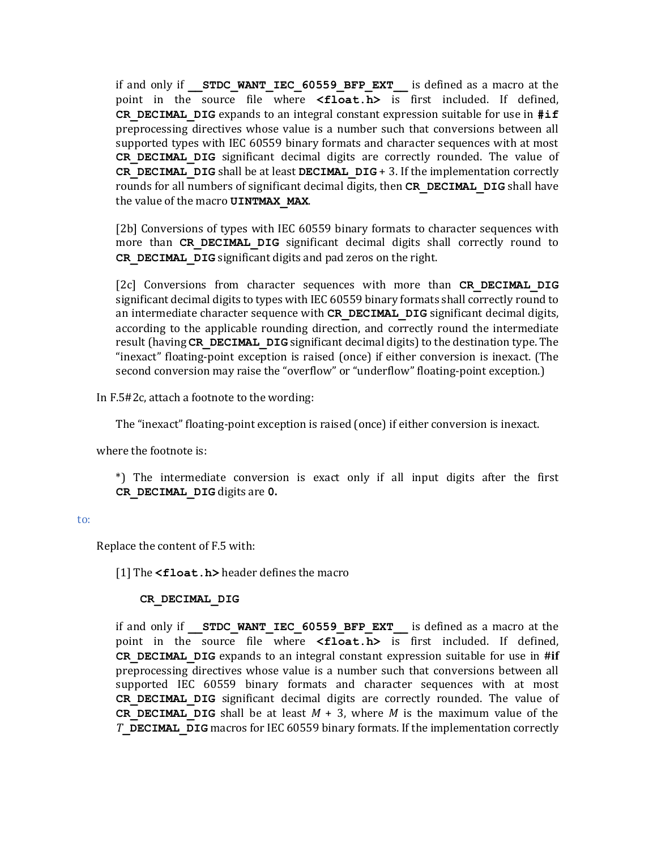if and only if **STDC WANT IEC 60559 BFP EXT** is defined as a macro at the point in the source file where <float.h> is first included. If defined, **CR** DECIMAL DIG expands to an integral constant expression suitable for use in  $\sharp$ **if** preprocessing directives whose value is a number such that conversions between all supported types with IEC 60559 binary formats and character sequences with at most **CR DECIMAL DIG** significant decimal digits are correctly rounded. The value of **CR\_DECIMAL\_DIG** shall be at least **DECIMAL\_DIG** + 3. If the implementation correctly rounds for all numbers of significant decimal digits, then CR DECIMAL DIG shall have the value of the macro **UINTMAX MAX**.

[2b] Conversions of types with IEC 60559 binary formats to character sequences with more than CR DECIMAL DIG significant decimal digits shall correctly round to **CR\_DECIMAL\_DIG** significant digits and pad zeros on the right.

[2c] Conversions from character sequences with more than **CR DECIMAL DIG** significant decimal digits to types with IEC 60559 binary formats shall correctly round to an intermediate character sequence with CR DECIMAL DIG significant decimal digits, according to the applicable rounding direction, and correctly round the intermediate result (having CR DECIMAL DIG significant decimal digits) to the destination type. The "inexact" floating-point exception is raised (once) if either conversion is inexact. (The second conversion may raise the "overflow" or "underflow" floating-point exception.)

In F.5#2c, attach a footnote to the wording:

The "inexact" floating-point exception is raised (once) if either conversion is inexact.

where the footnote is:

\*) The intermediate conversion is exact only if all input digits after the first **CR\_DECIMAL\_DIG** digits are **0.**

#### to:

Replace the content of F.5 with:

[1] The **<float.h>** header defines the macro

### **CR\_DECIMAL\_DIG**

if and only if **STDC WANT IEC 60559 BFP EXT** is defined as a macro at the point in the source file where <float.h> is first included. If defined, **CR** DECIMAL DIG expands to an integral constant expression suitable for use in #if preprocessing directives whose value is a number such that conversions between all supported IEC 60559 binary formats and character sequences with at most **CR DECIMAL DIG** significant decimal digits are correctly rounded. The value of **CR DECIMAL DIG** shall be at least  $M + 3$ , where M is the maximum value of the *T* DECIMAL DIG macros for IEC 60559 binary formats. If the implementation correctly